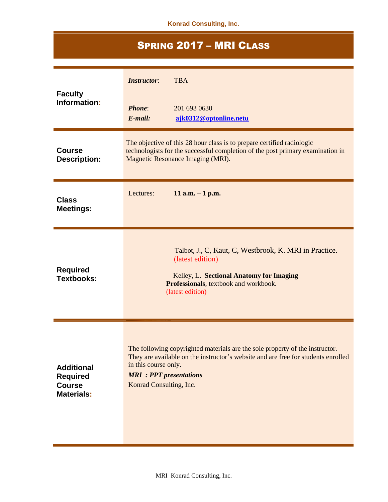**Konrad Consulting, Inc.**

## SPRING 2017 – MRI CLASS

| <b>Faculty</b><br>Information:                                             | <b>TBA</b><br><b>Instructor:</b><br><b>Phone:</b><br>201 693 0630<br>$E$ -mail:<br>ajk0312@optonline.netu                                                                                                                                              |
|----------------------------------------------------------------------------|--------------------------------------------------------------------------------------------------------------------------------------------------------------------------------------------------------------------------------------------------------|
| <b>Course</b><br><b>Description:</b>                                       | The objective of this 28 hour class is to prepare certified radiologic<br>technologists for the successful completion of the post primary examination in<br>Magnetic Resonance Imaging (MRI).                                                          |
| <b>Class</b><br><b>Meetings:</b>                                           | 11 a.m. $-1$ p.m.<br>Lectures:                                                                                                                                                                                                                         |
| <b>Required</b><br><b>Textbooks:</b>                                       | Talbot, J., C, Kaut, C, Westbrook, K. MRI in Practice.<br>(latest edition)<br>Kelley, L. Sectional Anatomy for Imaging<br>Professionals, textbook and workbook.<br>(latest edition)                                                                    |
| <b>Additional</b><br><b>Required</b><br><b>Course</b><br><b>Materials:</b> | The following copyrighted materials are the sole property of the instructor.<br>They are available on the instructor's website and are free for students enrolled<br>in this course only.<br><b>MRI</b> : PPT presentations<br>Konrad Consulting, Inc. |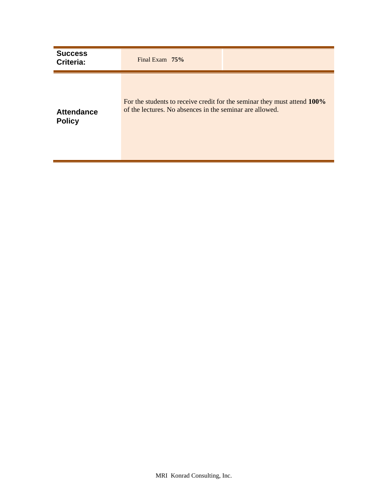| <b>Success</b><br>Criteria:        | Final Exam $75%$                                         |                                                                          |
|------------------------------------|----------------------------------------------------------|--------------------------------------------------------------------------|
| <b>Attendance</b><br><b>Policy</b> | of the lectures. No absences in the seminar are allowed. | For the students to receive credit for the seminar they must attend 100% |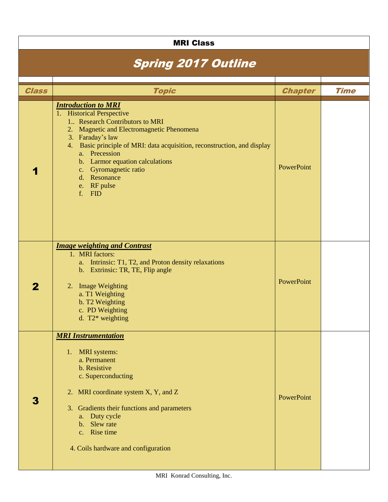|              | <b>MRI Class</b>                                                                                                                                                                                                                                                                                                                                                             |                   |             |
|--------------|------------------------------------------------------------------------------------------------------------------------------------------------------------------------------------------------------------------------------------------------------------------------------------------------------------------------------------------------------------------------------|-------------------|-------------|
|              | <b>Spring 2017 Outline</b>                                                                                                                                                                                                                                                                                                                                                   |                   |             |
| <b>Class</b> | <b>Topic</b>                                                                                                                                                                                                                                                                                                                                                                 | <b>Chapter</b>    | <b>Time</b> |
|              | <b>Introduction to MRI</b><br>1. Historical Perspective<br>1. Research Contributors to MRI<br>Magnetic and Electromagnetic Phenomena<br>2.<br>3. Faraday's law<br>4. Basic principle of MRI: data acquisition, reconstruction, and display<br>a. Precession<br>b. Larmor equation calculations<br>Gyromagnetic ratio<br>$C_{\star}$<br>d. Resonance<br>e. RF pulse<br>f. FID | PowerPoint        |             |
| $\mathbf 2$  | <b>Image weighting and Contrast</b><br>1. MRI factors:<br>a. Intrinsic: T1, T2, and Proton density relaxations<br>b. Extrinsic: TR, TE, Flip angle<br>2. Image Weighting<br>a. T1 Weighting<br>b. T2 Weighting<br>c. PD Weighting<br>d. $T2*$ weighting                                                                                                                      | <b>PowerPoint</b> |             |
| $\mathbf{3}$ | <b>MRI Instrumentation</b><br>1. MRI systems:<br>a. Permanent<br>b. Resistive<br>c. Superconducting<br>2. MRI coordinate system X, Y, and Z<br>3. Gradients their functions and parameters<br>a. Duty cycle<br>b. Slew rate<br>c. Rise time<br>4. Coils hardware and configuration                                                                                           | PowerPoint        |             |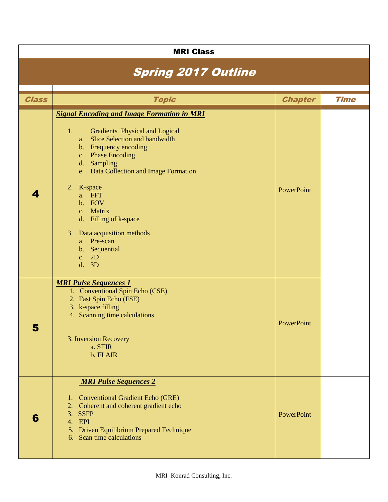|              | <b>MRI Class</b>                                                                                                                                                                                                                                                                                                                                                                                        |                |             |
|--------------|---------------------------------------------------------------------------------------------------------------------------------------------------------------------------------------------------------------------------------------------------------------------------------------------------------------------------------------------------------------------------------------------------------|----------------|-------------|
|              | <b>Spring 2017 Outline</b>                                                                                                                                                                                                                                                                                                                                                                              |                |             |
| <b>Class</b> | <b>Topic</b>                                                                                                                                                                                                                                                                                                                                                                                            | <b>Chapter</b> | <b>Time</b> |
| 4            | <b>Signal Encoding and Image Formation in MRI</b><br><b>Gradients Physical and Logical</b><br>1.<br>a. Slice Selection and bandwidth<br>b. Frequency encoding<br>c. Phase Encoding<br>Sampling<br>d.<br>e. Data Collection and Image Formation<br>2. K-space<br>a. FFT<br>b. FOV<br>c. Matrix<br>d. Filling of k-space<br>3. Data acquisition methods<br>a. Pre-scan<br>b. Sequential<br>c. 2D<br>d. 3D | PowerPoint     |             |
| Э            | <b>MRI Pulse Sequences 1</b><br>1. Conventional Spin Echo (CSE)<br>2. Fast Spin Echo (FSE)<br>3. k-space filling<br>4. Scanning time calculations<br>3. Inversion Recovery<br>a. STIR<br>b. FLAIR                                                                                                                                                                                                       | PowerPoint     |             |
| 6            | <b>MRI Pulse Sequences 2</b><br><b>Conventional Gradient Echo (GRE)</b><br>1.<br>2. Coherent and coherent gradient echo<br>3. SSFP<br>EPI<br>4.<br>Driven Equilibrium Prepared Technique<br>5.<br>6. Scan time calculations                                                                                                                                                                             | PowerPoint     |             |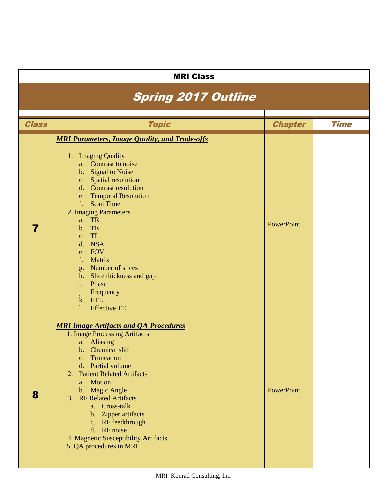| <b>MRI Class</b>           |                                                                                                                                                                                                                                                                                                                                                                                                                                                        |                |             |  |  |
|----------------------------|--------------------------------------------------------------------------------------------------------------------------------------------------------------------------------------------------------------------------------------------------------------------------------------------------------------------------------------------------------------------------------------------------------------------------------------------------------|----------------|-------------|--|--|
| <b>Spring 2017 Outline</b> |                                                                                                                                                                                                                                                                                                                                                                                                                                                        |                |             |  |  |
|                            |                                                                                                                                                                                                                                                                                                                                                                                                                                                        |                |             |  |  |
| <b>Class</b>               | <b>Topic</b>                                                                                                                                                                                                                                                                                                                                                                                                                                           | <b>Chapter</b> | <b>Time</b> |  |  |
| 7                          | <b>MRI Parameters, Image Quality, and Trade-offs</b><br>1. Imaging Quality<br>a. Contrast to noise<br>b. Signal to Noise<br>c. Spatial resolution<br>d. Contrast resolution<br>e. Temporal Resolution<br>$f_{\rm{r}}$<br><b>Scan Time</b><br>2. Imaging Parameters<br>a. TR<br>b. TE<br>c. TI<br>d. NSA<br>e. FOV<br>f. Matrix<br>g. Number of slices<br>h. Slice thickness and gap<br>i. Phase<br>j. Frequency<br>k. ETL<br>1.<br><b>Effective TE</b> | PowerPoint     |             |  |  |
| 8                          | <b>MRI Image Artifacts and QA Procedures</b><br>1. Image Processing Artifacts<br>a. Aliasing<br>b. Chemical shift<br>c. Truncation<br>d. Partial volume<br><b>Patient Related Artifacts</b><br>2.<br>a. Motion<br>b. Magic Angle<br>3. RF Related Artifacts<br>a. Cross-talk<br>b. Zipper artifacts<br>c. RF feedthrough<br>d. RF noise<br>4. Magnetic Susceptibility Artifacts<br>5. QA procedures in MRI                                             | PowerPoint     |             |  |  |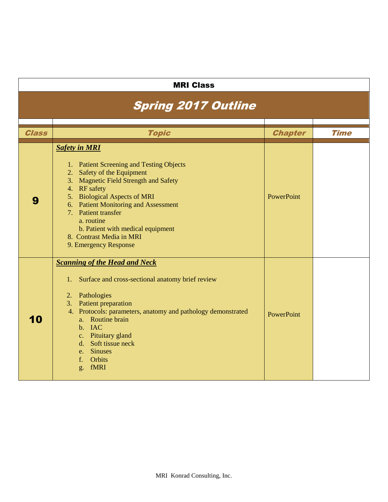| <b>MRI Class</b>           |                                                                                                                                                                                                                                                                                                                                                                   |                |             |  |  |
|----------------------------|-------------------------------------------------------------------------------------------------------------------------------------------------------------------------------------------------------------------------------------------------------------------------------------------------------------------------------------------------------------------|----------------|-------------|--|--|
| <b>Spring 2017 Outline</b> |                                                                                                                                                                                                                                                                                                                                                                   |                |             |  |  |
| <b>Class</b>               | <b>Topic</b>                                                                                                                                                                                                                                                                                                                                                      | <b>Chapter</b> | <b>Time</b> |  |  |
| 9                          | <b>Safety in MRI</b><br>1. Patient Screening and Testing Objects<br>Safety of the Equipment<br>2.<br>3. Magnetic Field Strength and Safety<br>4. RF safety<br>5. Biological Aspects of MRI<br>6. Patient Monitoring and Assessment<br>7. Patient transfer<br>a. routine<br>b. Patient with medical equipment<br>8. Contrast Media in MRI<br>9. Emergency Response | PowerPoint     |             |  |  |
| 10                         | <b>Scanning of the Head and Neck</b><br>Surface and cross-sectional anatomy brief review<br>1.<br>2. Pathologies<br>3. Patient preparation<br>4. Protocols: parameters, anatomy and pathology demonstrated<br>a. Routine brain<br>b. IAC<br>c. Pituitary gland<br>d. Soft tissue neck<br>e. Sinuses<br>f. Orbits<br>fMRI<br>g.                                    | PowerPoint     |             |  |  |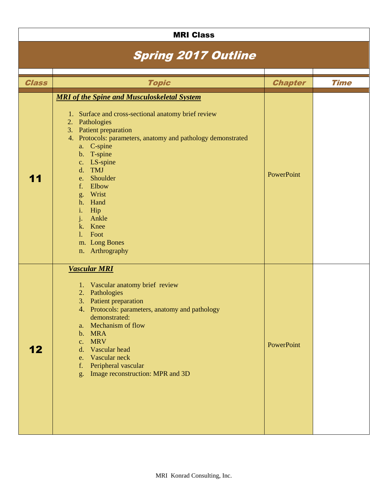| <b>MRI Class</b>           |                                                                                                                                                                                                                                                                                                                                                                                                                                            |                |             |  |  |
|----------------------------|--------------------------------------------------------------------------------------------------------------------------------------------------------------------------------------------------------------------------------------------------------------------------------------------------------------------------------------------------------------------------------------------------------------------------------------------|----------------|-------------|--|--|
| <b>Spring 2017 Outline</b> |                                                                                                                                                                                                                                                                                                                                                                                                                                            |                |             |  |  |
|                            |                                                                                                                                                                                                                                                                                                                                                                                                                                            |                |             |  |  |
| <b>Class</b>               | <b>Topic</b>                                                                                                                                                                                                                                                                                                                                                                                                                               | <b>Chapter</b> | <b>Time</b> |  |  |
| 11                         | <b>MRI</b> of the Spine and Musculoskeletal System<br>1. Surface and cross-sectional anatomy brief review<br>Pathologies<br>2.<br>3. Patient preparation<br>4. Protocols: parameters, anatomy and pathology demonstrated<br>a. C-spine<br>b. T-spine<br>c. LS-spine<br>d. TMJ<br>Shoulder<br>e.<br>Elbow<br>f.<br>g. Wrist<br>h. Hand<br>Hip<br>i.<br>Ankle<br>j.<br>k. Knee<br>Foot<br>$\mathbf{1}$ .<br>m. Long Bones<br>n. Arthrography | PowerPoint     |             |  |  |
| 12                         | <b>Vascular MRI</b><br>1. Vascular anatomy brief review<br>2. Pathologies<br>3. Patient preparation<br>4. Protocols: parameters, anatomy and pathology<br>demonstrated:<br>a. Mechanism of flow<br>b. MRA<br>c. MRV<br>d. Vascular head<br>e. Vascular neck<br>Peripheral vascular<br>f.<br>g. Image reconstruction: MPR and 3D                                                                                                            | PowerPoint     |             |  |  |